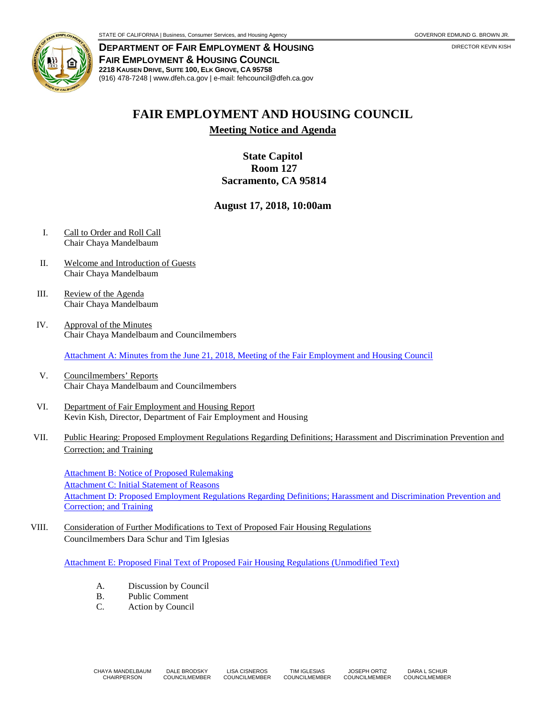

**DEPARTMENT OF FAIR EMPLOYMENT & HOUSING FAIR EMPLOYMENT & HOUSING COUNCIL 2218 KAUSEN DRIVE, SUITE 100, ELK GROVE, CA 95758** (916) 478-7248 | www.dfeh.ca.gov | e-mail: fehcouncil@dfeh.ca.gov

## **FAIR EMPLOYMENT AND HOUSING COUNCIL**

**Meeting Notice and Agenda**

## **State Capitol Room 127 Sacramento, CA 95814**

## **August 17, 2018, 10:00am**

- I. Call to Order and Roll Call Chair Chaya Mandelbaum
- II. Welcome and Introduction of Guests Chair Chaya Mandelbaum
- III. Review of the Agenda Chair Chaya Mandelbaum
- IV. Approval of the Minutes Chair Chaya Mandelbaum and Councilmembers

Attachment A: Minutes from the June 21, 2018, [Meeting of the Fair Employment and Housing Council](https://www.dfeh.ca.gov/wp-content/uploads/sites/32/2018/08/AttachA-FEHCMinutes2018June21.pdf)

- V. Councilmembers' Reports Chair Chaya Mandelbaum and Councilmembers
- VI. Department of Fair Employment and Housing Report Kevin Kish, Director, Department of Fair Employment and Housing
- VII. Public Hearing: Proposed Employment Regulations Regarding Definitions; Harassment and Discrimination Prevention and Correction; and Training

[Attachment B: Notice of Proposed Rulemaking](https://www.dfeh.ca.gov/wp-content/uploads/sites/32/2018/08/AttachB-NtcEmployRegDefHarassDiscrimPreventionCorrectionTraining.pdf) [Attachment C: Initial Statement of Reasons](https://www.dfeh.ca.gov/wp-content/uploads/sites/32/2018/08/AttachC-InitStmtReasons4RegDefHarassDiscrimPreventionCorrectionTraining.pdf) Attachment D: Proposed Employment Regulations Regarding Definitions; Harassment and Discrimination Prevention and [Correction; and Training](https://www.dfeh.ca.gov/wp-content/uploads/sites/32/2018/08/AttachD-TxtProposedEmployRegDefHarassDiscrimPreventionCorrectionTraining.pdf)

VIII. Consideration of Further Modifications to Text of Proposed Fair Housing Regulations Councilmembers Dara Schur and Tim Iglesias

Attachment E: Proposed Final [Text of Proposed Fair Housing Regulations](https://www.dfeh.ca.gov/wp-content/uploads/sites/32/2018/08/AttachE-UnmodifedTextOfFairHousingRegulations.pdf) (Unmodified Text)

- A. Discussion by Council
- B. Public Comment
- C. Action by Council